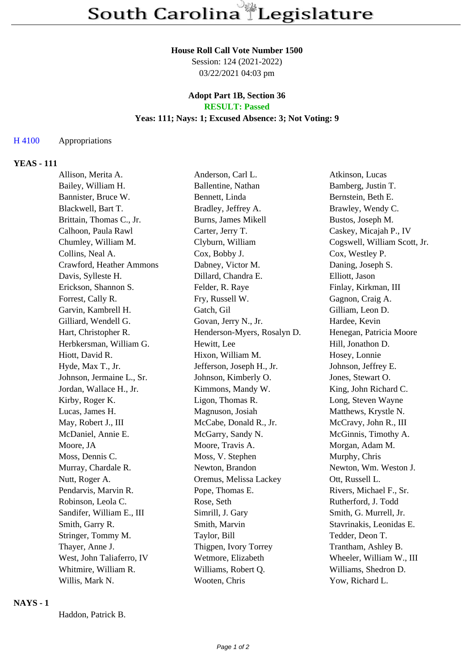## **House Roll Call Vote Number 1500**

Session: 124 (2021-2022) 03/22/2021 04:03 pm

#### **Adopt Part 1B, Section 36 RESULT: Passed**

# **Yeas: 111; Nays: 1; Excused Absence: 3; Not Voting: 9**

### H 4100 Appropriations

# **YEAS - 111**

| Allison, Merita A.        | Anderson, Carl L.           | Atkinson, Lucas              |
|---------------------------|-----------------------------|------------------------------|
| Bailey, William H.        | Ballentine, Nathan          | Bamberg, Justin T.           |
| Bannister, Bruce W.       | Bennett, Linda              | Bernstein, Beth E.           |
| Blackwell, Bart T.        | Bradley, Jeffrey A.         | Brawley, Wendy C.            |
| Brittain, Thomas C., Jr.  | Burns, James Mikell         | Bustos, Joseph M.            |
| Calhoon, Paula Rawl       | Carter, Jerry T.            | Caskey, Micajah P., IV       |
| Chumley, William M.       | Clyburn, William            | Cogswell, William Scott, Jr. |
| Collins, Neal A.          | Cox, Bobby J.               | Cox, Westley P.              |
| Crawford, Heather Ammons  | Dabney, Victor M.           | Daning, Joseph S.            |
| Davis, Sylleste H.        | Dillard, Chandra E.         | Elliott, Jason               |
| Erickson, Shannon S.      | Felder, R. Raye             | Finlay, Kirkman, III         |
| Forrest, Cally R.         | Fry, Russell W.             | Gagnon, Craig A.             |
| Garvin, Kambrell H.       | Gatch, Gil                  | Gilliam, Leon D.             |
| Gilliard, Wendell G.      | Govan, Jerry N., Jr.        | Hardee, Kevin                |
| Hart, Christopher R.      | Henderson-Myers, Rosalyn D. | Henegan, Patricia Moore      |
| Herbkersman, William G.   | Hewitt, Lee                 | Hill, Jonathon D.            |
| Hiott, David R.           | Hixon, William M.           | Hosey, Lonnie                |
| Hyde, Max T., Jr.         | Jefferson, Joseph H., Jr.   | Johnson, Jeffrey E.          |
| Johnson, Jermaine L., Sr. | Johnson, Kimberly O.        | Jones, Stewart O.            |
| Jordan, Wallace H., Jr.   | Kimmons, Mandy W.           | King, John Richard C.        |
| Kirby, Roger K.           | Ligon, Thomas R.            | Long, Steven Wayne           |
| Lucas, James H.           | Magnuson, Josiah            | Matthews, Krystle N.         |
| May, Robert J., III       | McCabe, Donald R., Jr.      | McCravy, John R., III        |
| McDaniel, Annie E.        | McGarry, Sandy N.           | McGinnis, Timothy A.         |
| Moore, JA                 | Moore, Travis A.            | Morgan, Adam M.              |
| Moss, Dennis C.           | Moss, V. Stephen            | Murphy, Chris                |
| Murray, Chardale R.       | Newton, Brandon             | Newton, Wm. Weston J.        |
| Nutt, Roger A.            | Oremus, Melissa Lackey      | Ott, Russell L.              |
| Pendarvis, Marvin R.      | Pope, Thomas E.             | Rivers, Michael F., Sr.      |
| Robinson, Leola C.        | Rose, Seth                  | Rutherford, J. Todd          |
| Sandifer, William E., III | Simrill, J. Gary            | Smith, G. Murrell, Jr.       |
| Smith, Garry R.           | Smith, Marvin               | Stavrinakis, Leonidas E.     |
| Stringer, Tommy M.        | Taylor, Bill                | Tedder, Deon T.              |
| Thayer, Anne J.           | Thigpen, Ivory Torrey       | Trantham, Ashley B.          |
| West, John Taliaferro, IV | Wetmore, Elizabeth          | Wheeler, William W., III     |
| Whitmire, William R.      | Williams, Robert Q.         | Williams, Shedron D.         |
| Willis, Mark N.           | Wooten, Chris               | Yow, Richard L.              |

#### **NAYS - 1**

Haddon, Patrick B.